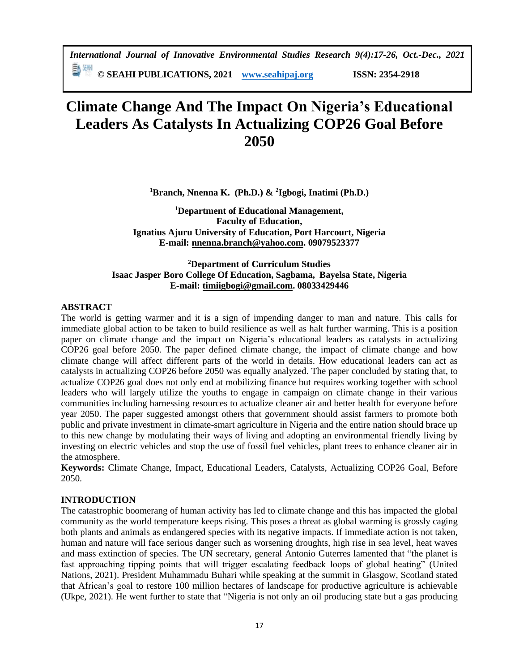*International Journal of Innovative Environmental Studies Research 9(4):17-26, Oct.-Dec., 2021* 

**© SEAHI PUBLICATIONS, 2021 [www.seahipaj.org](http://www.seahipaj.org/) ISSN: 2354-2918**

# **Climate Change And The Impact On Nigeria's Educational Leaders As Catalysts In Actualizing COP26 Goal Before 2050**

**<sup>1</sup>Branch, Nnenna K. (Ph.D.) & <sup>2</sup> Igbogi, Inatimi (Ph.D.)**

**<sup>1</sup>Department of Educational Management, Faculty of Education, Ignatius Ajuru University of Education, Port Harcourt, Nigeria E-mail: [nnenna.branch@yahoo.com.](mailto:nnenna.branch@yahoo.com) 09079523377**

# **<sup>2</sup>Department of Curriculum Studies Isaac Jasper Boro College Of Education, Sagbama, Bayelsa State, Nigeria E-mail: [timiigbogi@gmail.com.](mailto:timiigbogi@gmail.com) 08033429446**

# **ABSTRACT**

The world is getting warmer and it is a sign of impending danger to man and nature. This calls for immediate global action to be taken to build resilience as well as halt further warming. This is a position paper on climate change and the impact on Nigeria's educational leaders as catalysts in actualizing COP26 goal before 2050. The paper defined climate change, the impact of climate change and how climate change will affect different parts of the world in details. How educational leaders can act as catalysts in actualizing COP26 before 2050 was equally analyzed. The paper concluded by stating that, to actualize COP26 goal does not only end at mobilizing finance but requires working together with school leaders who will largely utilize the youths to engage in campaign on climate change in their various communities including harnessing resources to actualize cleaner air and better health for everyone before year 2050. The paper suggested amongst others that government should assist farmers to promote both public and private investment in climate-smart agriculture in Nigeria and the entire nation should brace up to this new change by modulating their ways of living and adopting an environmental friendly living by investing on electric vehicles and stop the use of fossil fuel vehicles, plant trees to enhance cleaner air in the atmosphere.

**Keywords:** Climate Change, Impact, Educational Leaders, Catalysts, Actualizing COP26 Goal, Before 2050.

# **INTRODUCTION**

The catastrophic boomerang of human activity has led to climate change and this has impacted the global community as the world temperature keeps rising. This poses a threat as global warming is grossly caging both plants and animals as endangered species with its negative impacts. If immediate action is not taken, human and nature will face serious danger such as worsening droughts, high rise in sea level, heat waves and mass extinction of species. The UN secretary, general Antonio Guterres lamented that "the planet is fast approaching tipping points that will trigger escalating feedback loops of global heating" (United Nations, 2021). President Muhammadu Buhari while speaking at the summit in Glasgow, Scotland stated that African's goal to restore 100 million hectares of landscape for productive agriculture is achievable (Ukpe, 2021). He went further to state that "Nigeria is not only an oil producing state but a gas producing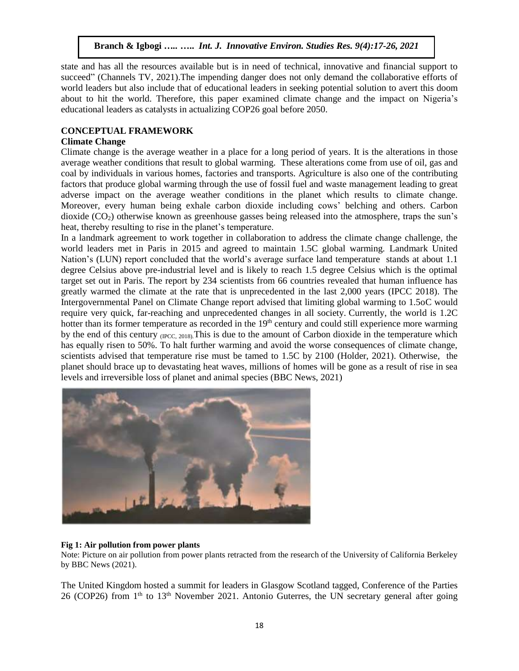state and has all the resources available but is in need of technical, innovative and financial support to succeed" (Channels TV, 2021).The impending danger does not only demand the collaborative efforts of world leaders but also include that of educational leaders in seeking potential solution to avert this doom about to hit the world. Therefore, this paper examined climate change and the impact on Nigeria's educational leaders as catalysts in actualizing COP26 goal before 2050.

# **CONCEPTUAL FRAMEWORK**

# **Climate Change**

Climate change is the average weather in a place for a long period of years. It is the alterations in those average weather conditions that result to global warming. These alterations come from use of oil, gas and coal by individuals in various homes, factories and transports. Agriculture is also one of the contributing factors that produce global warming through the use of fossil fuel and waste management leading to great adverse impact on the average weather conditions in the planet which results to climate change. Moreover, every human being exhale carbon dioxide including cows' belching and others. Carbon dioxide  $(CO<sub>2</sub>)$  otherwise known as greenhouse gasses being released into the atmosphere, traps the sun's heat, thereby resulting to rise in the planet's temperature.

In a landmark agreement to work together in collaboration to address the climate change challenge, the world leaders met in Paris in 2015 and agreed to maintain 1.5C global warming. Landmark United Nation's (LUN) report concluded that the world's average surface land temperature stands at about 1.1 degree Celsius above pre-industrial level and is likely to reach 1.5 degree Celsius which is the optimal target set out in Paris. The report by 234 scientists from 66 countries revealed that human influence has greatly warmed the climate at the rate that is unprecedented in the last 2,000 years (IPCC 2018). The Intergovernmental Panel on Climate Change report advised that limiting global warming to 1.5oC would require very quick, far-reaching and unprecedented changes in all society. Currently, the world is 1.2C hotter than its former temperature as recorded in the 19<sup>th</sup> century and could still experience more warming by the end of this century (IPCC, 2018). This is due to the amount of Carbon dioxide in the temperature which has equally risen to 50%. To halt further warming and avoid the worse consequences of climate change, scientists advised that temperature rise must be tamed to 1.5C by 2100 (Holder, 2021). Otherwise, the planet should brace up to devastating heat waves, millions of homes will be gone as a result of rise in sea levels and irreversible loss of planet and animal species (BBC News, 2021)



#### **Fig 1: Air pollution from power plants**

Note: Picture on air pollution from power plants retracted from the research of the University of California Berkeley by BBC News (2021).

The United Kingdom hosted a summit for leaders in Glasgow Scotland tagged, Conference of the Parties 26 (COP26) from 1<sup>th</sup> to 13<sup>th</sup> November 2021. Antonio Guterres, the UN secretary general after going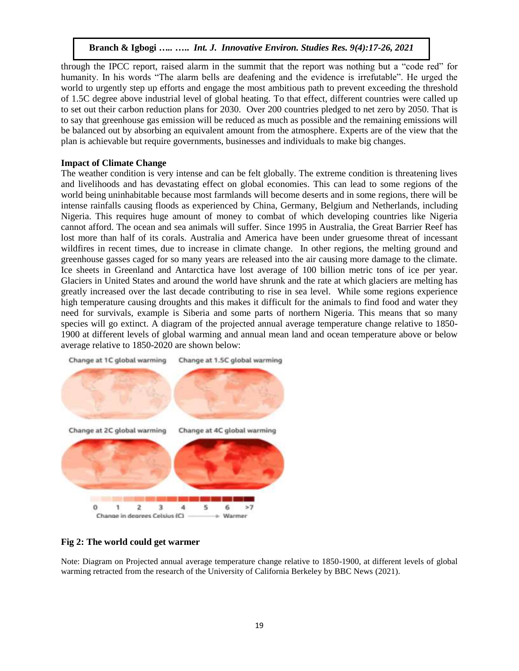through the IPCC report, raised alarm in the summit that the report was nothing but a "code red" for humanity. In his words "The alarm bells are deafening and the evidence is irrefutable". He urged the world to urgently step up efforts and engage the most ambitious path to prevent exceeding the threshold of 1.5C degree above industrial level of global heating. To that effect, different countries were called up to set out their carbon reduction plans for 2030. Over 200 countries pledged to net zero by 2050. That is to say that greenhouse gas emission will be reduced as much as possible and the remaining emissions will be balanced out by absorbing an equivalent amount from the atmosphere. Experts are of the view that the plan is achievable but require governments, businesses and individuals to make big changes.

# **Impact of Climate Change**

The weather condition is very intense and can be felt globally. The extreme condition is threatening lives and livelihoods and has devastating effect on global economies. This can lead to some regions of the world being uninhabitable because most farmlands will become deserts and in some regions, there will be intense rainfalls causing floods as experienced by China, Germany, Belgium and Netherlands, including Nigeria. This requires huge amount of money to combat of which developing countries like Nigeria cannot afford. The ocean and sea animals will suffer. Since 1995 in Australia, the Great Barrier Reef has lost more than half of its corals. Australia and America have been under gruesome threat of incessant wildfires in recent times, due to increase in climate change. In other regions, the melting ground and greenhouse gasses caged for so many years are released into the air causing more damage to the climate. Ice sheets in Greenland and Antarctica have lost average of 100 billion metric tons of ice per year. Glaciers in United States and around the world have shrunk and the rate at which glaciers are melting has greatly increased over the last decade contributing to rise in sea level. While some regions experience high temperature causing droughts and this makes it difficult for the animals to find food and water they need for survivals, example is Siberia and some parts of northern Nigeria. This means that so many species will go extinct. A diagram of the projected annual average temperature change relative to 1850- 1900 at different levels of global warming and annual mean land and ocean temperature above or below average relative to 1850-2020 are shown below:



# **Fig 2: The world could get warmer**

Note: Diagram on Projected annual average temperature change relative to 1850-1900, at different levels of global warming retracted from the research of the University of California Berkeley by BBC News (2021).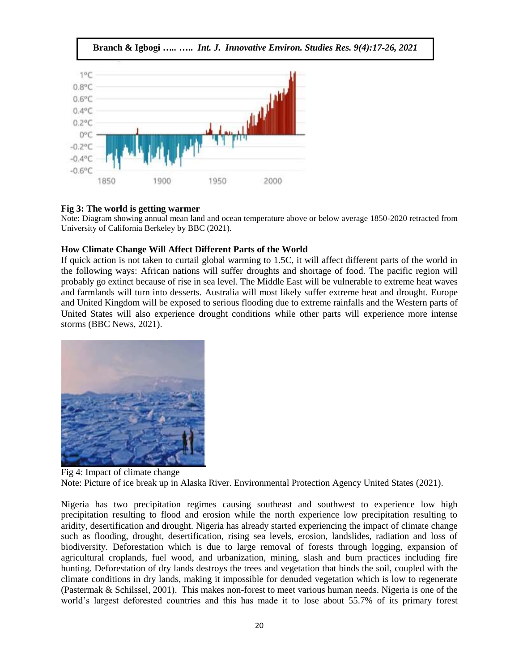



#### **Fig 3: The world is getting warmer**

Note: Diagram showing annual mean land and ocean temperature above or below average 1850-2020 retracted from University of California Berkeley by BBC (2021).

#### **How Climate Change Will Affect Different Parts of the World**

If quick action is not taken to curtail global warming to 1.5C, it will affect different parts of the world in the following ways: African nations will suffer droughts and shortage of food. The pacific region will probably go extinct because of rise in sea level. The Middle East will be vulnerable to extreme heat waves and farmlands will turn into desserts. Australia will most likely suffer extreme heat and drought. Europe and United Kingdom will be exposed to serious flooding due to extreme rainfalls and the Western parts of United States will also experience drought conditions while other parts will experience more intense storms (BBC News, 2021).



Fig 4: Impact of climate change Note: Picture of ice break up in Alaska River. Environmental Protection Agency United States (2021).

Nigeria has two precipitation regimes causing southeast and southwest to experience low high precipitation resulting to flood and erosion while the north experience low precipitation resulting to aridity, desertification and drought. Nigeria has already started experiencing the impact of climate change such as flooding, drought, desertification, rising sea levels, erosion, landslides, radiation and loss of biodiversity. Deforestation which is due to large removal of forests through logging, expansion of agricultural croplands, fuel wood, and urbanization, mining, slash and burn practices including fire hunting. Deforestation of dry lands destroys the trees and vegetation that binds the soil, coupled with the climate conditions in dry lands, making it impossible for denuded vegetation which is low to regenerate (Pastermak & Schilssel, 2001). This makes non-forest to meet various human needs. Nigeria is one of the world's largest deforested countries and this has made it to lose about 55.7% of its primary forest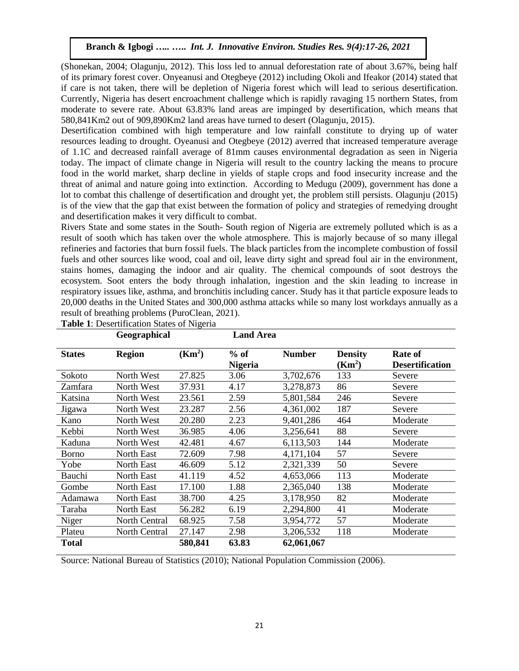(Shonekan, 2004; Olagunju, 2012). This loss led to annual deforestation rate of about 3.67%, being half of its primary forest cover. Onyeanusi and Otegbeye (2012) including Okoli and Ifeakor (2014) stated that if care is not taken, there will be depletion of Nigeria forest which will lead to serious desertification. Currently, Nigeria has desert encroachment challenge which is rapidly ravaging 15 northern States, from moderate to severe rate. About 63.83% land areas are impinged by desertification, which means that 580,841Km2 out of 909,890Km2 land areas have turned to desert (Olagunju, 2015).

Desertification combined with high temperature and low rainfall constitute to drying up of water resources leading to drought. Oyeanusi and Otegbeye (2012) averred that increased temperature average of 1.1C and decreased rainfall average of 81mm causes environmental degradation as seen in Nigeria today. The impact of climate change in Nigeria will result to the country lacking the means to procure food in the world market, sharp decline in yields of staple crops and food insecurity increase and the threat of animal and nature going into extinction. According to Medugu (2009), government has done a lot to combat this challenge of desertification and drought yet, the problem still persists. Olagunju (2015) is of the view that the gap that exist between the formation of policy and strategies of remedying drought and desertification makes it very difficult to combat.

Rivers State and some states in the South- South region of Nigeria are extremely polluted which is as a result of sooth which has taken over the whole atmosphere. This is majorly because of so many illegal refineries and factories that burn fossil fuels. The black particles from the incomplete combustion of fossil fuels and other sources like wood, coal and oil, leave dirty sight and spread foul air in the environment, stains homes, damaging the indoor and air quality. The chemical compounds of soot destroys the ecosystem. Soot enters the body through inhalation, ingestion and the skin leading to increase in respiratory issues like, asthma, and bronchitis including cancer. Study has it that particle exposure leads to 20,000 deaths in the United States and 300,000 asthma attacks while so many lost workdays annually as a result of breathing problems (PuroClean, 2021).

|               | Geographical      |                    | <b>Land Area</b>         |               |                                      |                                   |
|---------------|-------------------|--------------------|--------------------------|---------------|--------------------------------------|-----------------------------------|
| <b>States</b> | <b>Region</b>     | (Km <sup>2</sup> ) | $%$ of<br><b>Nigeria</b> | <b>Number</b> | <b>Density</b><br>(Km <sup>2</sup> ) | Rate of<br><b>Desertification</b> |
| Sokoto        | North West        | 27.825             | 3.06                     | 3,702,676     | 133                                  | Severe                            |
| Zamfara       | North West        | 37.931             | 4.17                     | 3,278,873     | 86                                   | Severe                            |
| Katsina       | North West        | 23.561             | 2.59                     | 5,801,584     | 246                                  | Severe                            |
| Jigawa        | North West        | 23.287             | 2.56                     | 4,361,002     | 187                                  | Severe                            |
| Kano          | North West        | 20.280             | 2.23                     | 9,401,286     | 464                                  | Moderate                          |
| Kebbi         | North West        | 36.985             | 4.06                     | 3,256,641     | 88                                   | Severe                            |
| Kaduna        | North West        | 42.481             | 4.67                     | 6,113,503     | 144                                  | Moderate                          |
| <b>Borno</b>  | North East        | 72.609             | 7.98                     | 4,171,104     | 57                                   | Severe                            |
| Yobe          | <b>North East</b> | 46.609             | 5.12                     | 2,321,339     | 50                                   | Severe                            |
| Bauchi        | <b>North East</b> | 41.119             | 4.52                     | 4,653,066     | 113                                  | Moderate                          |
| Gombe         | <b>North East</b> | 17.100             | 1.88                     | 2,365,040     | 138                                  | Moderate                          |
| Adamawa       | North East        | 38.700             | 4.25                     | 3,178,950     | 82                                   | Moderate                          |
| Taraba        | North East        | 56.282             | 6.19                     | 2,294,800     | 41                                   | Moderate                          |
| Niger         | North Central     | 68.925             | 7.58                     | 3,954,772     | 57                                   | Moderate                          |
| Plateu        | North Central     | 27.147             | 2.98                     | 3,206,532     | 118                                  | Moderate                          |
| <b>Total</b>  |                   | 580,841            | 63.83                    | 62,061,067    |                                      |                                   |

**Table 1**: Desertification States of Nigeria

Source: National Bureau of Statistics (2010); National Population Commission (2006).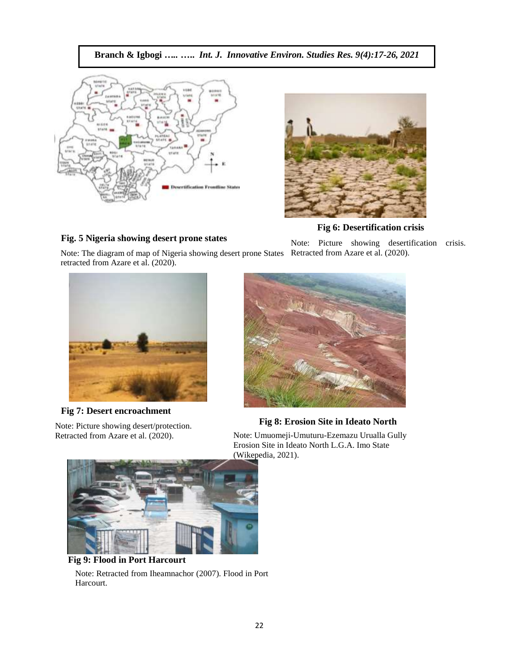**Branch & Igbogi** *…..* **…..** *Int. J. Innovative Environ. Studies Res. 9(4):17-26, 2021*



# **Fig. 5 Nigeria showing desert prone states**



 **Fig 6: Desertification crisis** 

Note: Picture showing desertification crisis.





**Fig 7: Desert encroachment** 

Note: Picture showing desert/protection. Retracted from Azare et al. (2020).



 **Fig 8: Erosion Site in Ideato North**

Note: Umuomeji-Umuturu-Ezemazu Urualla Gully Erosion Site in Ideato North L.G.A. Imo State (Wikepedia, 2021).



 **Fig 9: Flood in Port Harcourt** Note: Retracted from Iheamnachor (2007). Flood in Port Harcourt.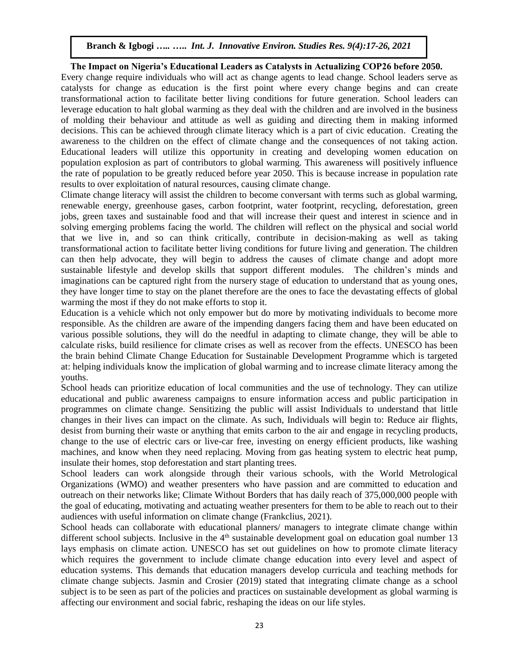# **The Impact on Nigeria's Educational Leaders as Catalysts in Actualizing COP26 before 2050.**

Every change require individuals who will act as change agents to lead change. School leaders serve as catalysts for change as education is the first point where every change begins and can create transformational action to facilitate better living conditions for future generation. School leaders can leverage education to halt global warming as they deal with the children and are involved in the business of molding their behaviour and attitude as well as guiding and directing them in making informed decisions. This can be achieved through climate literacy which is a part of civic education. Creating the awareness to the children on the effect of climate change and the consequences of not taking action. Educational leaders will utilize this opportunity in creating and developing women education on population explosion as part of contributors to global warming. This awareness will positively influence the rate of population to be greatly reduced before year 2050. This is because increase in population rate results to over exploitation of natural resources, causing climate change.

Climate change literacy will assist the children to become conversant with terms such as global warming, renewable energy, greenhouse gases, carbon footprint, water footprint, recycling, deforestation, green jobs, green taxes and sustainable food and that will increase their quest and interest in science and in solving emerging problems facing the world. The children will reflect on the physical and social world that we live in, and so can think critically, contribute in decision-making as well as taking transformational action to facilitate better living conditions for future living and generation. The children can then help advocate, they will begin to address the causes of climate change and adopt more sustainable lifestyle and develop skills that support different modules. The children's minds and imaginations can be captured right from the nursery stage of education to understand that as young ones, they have longer time to stay on the planet therefore are the ones to face the devastating effects of global warming the most if they do not make efforts to stop it.

Education is a vehicle which not only empower but do more by motivating individuals to become more responsible. As the children are aware of the impending dangers facing them and have been educated on various possible solutions, they will do the needful in adapting to climate change, they will be able to calculate risks, build resilience for climate crises as well as recover from the effects. UNESCO has been the brain behind Climate Change Education for Sustainable Development Programme which is targeted at: helping individuals know the implication of global warming and to increase climate literacy among the youths.

School heads can prioritize education of local communities and the use of technology. They can utilize educational and public awareness campaigns to ensure information access and public participation in programmes on climate change. Sensitizing the public will assist Individuals to understand that little changes in their lives can impact on the climate. As such, Individuals will begin to: Reduce air flights, desist from burning their waste or anything that emits carbon to the air and engage in recycling products, change to the use of electric cars or live-car free, investing on energy efficient products, like washing machines, and know when they need replacing. Moving from gas heating system to electric heat pump, insulate their homes, stop deforestation and start planting trees.

School leaders can work alongside through their various schools, with the World Metrological Organizations (WMO) and weather presenters who have passion and are committed to education and outreach on their networks like; Climate Without Borders that has daily reach of 375,000,000 people with the goal of educating, motivating and actuating weather presenters for them to be able to reach out to their audiences with useful information on climate change (Frankclius, 2021).

School heads can collaborate with educational planners/ managers to integrate climate change within different school subjects. Inclusive in the  $4<sup>th</sup>$  sustainable development goal on education goal number 13 lays emphasis on climate action. UNESCO has set out guidelines on how to promote climate literacy which requires the government to include climate change education into every level and aspect of education systems. This demands that education managers develop curricula and teaching methods for climate change subjects. Jasmin and Crosier (2019) stated that integrating climate change as a school subject is to be seen as part of the policies and practices on sustainable development as global warming is affecting our environment and social fabric, reshaping the ideas on our life styles.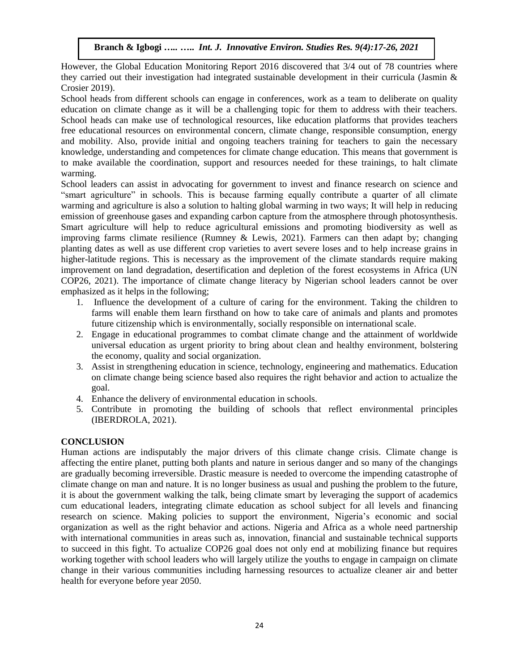However, the Global Education Monitoring Report 2016 discovered that 3/4 out of 78 countries where they carried out their investigation had integrated sustainable development in their curricula (Jasmin & Crosier 2019).

School heads from different schools can engage in conferences, work as a team to deliberate on quality education on climate change as it will be a challenging topic for them to address with their teachers. School heads can make use of technological resources, like education platforms that provides teachers free educational resources on environmental concern, climate change, responsible consumption, energy and mobility. Also, provide initial and ongoing teachers training for teachers to gain the necessary knowledge, understanding and competences for climate change education. This means that government is to make available the coordination, support and resources needed for these trainings, to halt climate warming.

School leaders can assist in advocating for government to invest and finance research on science and "smart agriculture" in schools. This is because farming equally contribute a quarter of all climate warming and agriculture is also a solution to halting global warming in two ways; It will help in reducing emission of greenhouse gases and expanding carbon capture from the atmosphere through photosynthesis. Smart agriculture will help to reduce agricultural emissions and promoting biodiversity as well as improving farms climate resilience (Rumney & Lewis, 2021). Farmers can then adapt by; changing planting dates as well as use different crop varieties to avert severe loses and to help increase grains in higher-latitude regions. This is necessary as the improvement of the climate standards require making improvement on land degradation, desertification and depletion of the forest ecosystems in Africa (UN COP26, 2021). The importance of climate change literacy by Nigerian school leaders cannot be over emphasized as it helps in the following;

- 1. Influence the development of a culture of caring for the environment. Taking the children to farms will enable them learn firsthand on how to take care of animals and plants and promotes future citizenship which is environmentally, socially responsible on international scale.
- 2. Engage in educational programmes to combat climate change and the attainment of worldwide universal education as urgent priority to bring about clean and healthy environment, bolstering the economy, quality and social organization.
- 3. Assist in strengthening education in science, technology, engineering and mathematics. Education on climate change being science based also requires the right behavior and action to actualize the goal.
- 4. Enhance the delivery of environmental education in schools.
- 5. Contribute in promoting the building of schools that reflect environmental principles (IBERDROLA, 2021).

# **CONCLUSION**

Human actions are indisputably the major drivers of this climate change crisis. Climate change is affecting the entire planet, putting both plants and nature in serious danger and so many of the changings are gradually becoming irreversible. Drastic measure is needed to overcome the impending catastrophe of climate change on man and nature. It is no longer business as usual and pushing the problem to the future, it is about the government walking the talk, being climate smart by leveraging the support of academics cum educational leaders, integrating climate education as school subject for all levels and financing research on science. Making policies to support the environment, Nigeria's economic and social organization as well as the right behavior and actions. Nigeria and Africa as a whole need partnership with international communities in areas such as, innovation, financial and sustainable technical supports to succeed in this fight. To actualize COP26 goal does not only end at mobilizing finance but requires working together with school leaders who will largely utilize the youths to engage in campaign on climate change in their various communities including harnessing resources to actualize cleaner air and better health for everyone before year 2050.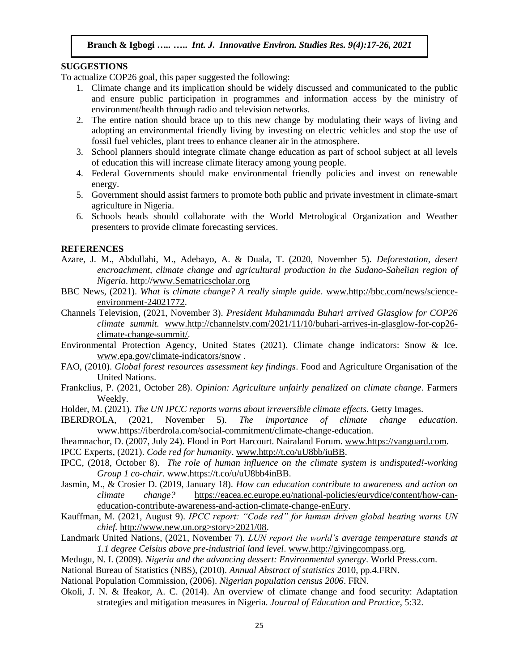### **SUGGESTIONS**

To actualize COP26 goal, this paper suggested the following:

- 1. Climate change and its implication should be widely discussed and communicated to the public and ensure public participation in programmes and information access by the ministry of environment/health through radio and television networks.
- 2. The entire nation should brace up to this new change by modulating their ways of living and adopting an environmental friendly living by investing on electric vehicles and stop the use of fossil fuel vehicles, plant trees to enhance cleaner air in the atmosphere.
- 3. School planners should integrate climate change education as part of school subject at all levels of education this will increase climate literacy among young people.
- 4. Federal Governments should make environmental friendly policies and invest on renewable energy.
- 5. Government should assist farmers to promote both public and private investment in climate-smart agriculture in Nigeria.
- 6. Schools heads should collaborate with the World Metrological Organization and Weather presenters to provide climate forecasting services.

### **REFERENCES**

- Azare, J. M., Abdullahi, M., Adebayo, A. & Duala, T. (2020, November 5). *Deforestation, desert*  encroachment, climate change and agricultural production in the Sudano-Sahelian region of *Nigeria*. http:/[/www.Sematricscholar.org](http://www.sematricscholar.org/)
- BBC News, (2021). *What is climate change? A really simple guide*. [www.http://bbc.com/news/science](http://www.http/bbc.com/news/science-environment-24021772)[environment-24021772.](http://www.http/bbc.com/news/science-environment-24021772)
- Channels Television, (2021, November 3). *President Muhammadu Buhari arrived Glasglow for COP26 climate summit.* [www.http://channelstv.com/2021/11/10/buhari-arrives-in-glasglow-for-cop26](http://www.http/channelstv.com/2021/11/10/buhari-arrives-in-glasglow-for-cop26-climate-change-summit/) [climate-change-summit/.](http://www.http/channelstv.com/2021/11/10/buhari-arrives-in-glasglow-for-cop26-climate-change-summit/)
- Environmental Protection Agency, United States (2021). Climate change indicators: Snow & Ice. [www.epa.gov/climate-indicators/snow](http://www.epa.gov/climate-indicators/snow) .
- FAO, (2010). *Global forest resources assessment key findings*. Food and Agriculture Organisation of the United Nations.
- Frankclius, P. (2021, October 28). *Opinion: Agriculture unfairly penalized on climate change*. Farmers Weekly.
- Holder, M. (2021). *The UN IPCC reports warns about irreversible climate effects*. Getty Images.
- IBERDROLA, (2021, November 5). *The importance of climate change education*. [www.https://iberdrola.com/social-commitment/climate-change-education.](http://www.https/iberdrola.com/social-commitment/climate-change-education)
- Iheamnachor, D. (2007, July 24). Flood in Port Harcourt. Nairaland Forum. [www.https://vanguard.com.](http://www.https/vanguard.com)

IPCC Experts, (2021). *Code red for humanity*[. www.http://t.co/uU8bb/iuBB.](http://www.http/t.co/uU8bb/iuBB)

- IPCC, (2018, October 8). *The role of human influence on the climate system is undisputed!-working Group 1 co-chair*. [www.https://t.co/u/uU8bb4inBB.](http://www.https/t.co/u/uU8bb4inBB)
- Jasmin, M., & Crosier D. (2019, January 18). *How can education contribute to awareness and action on climate change?* [https://eacea.ec.europe.eu/national-policies/eurydice/content/how-can](https://eacea.ec.europe.eu/national-policies/eurydice/content/how-can-education-contribute-awareness-and-action-climate-change-enEury)[education-contribute-awareness-and-action-climate-change-enEury.](https://eacea.ec.europe.eu/national-policies/eurydice/content/how-can-education-contribute-awareness-and-action-climate-change-enEury)
- Kauffman, M. (2021, August 9). *IPCC report: "Code red" for human driven global heating warns UN chief.* http://www.new.un.org>story>2021/08.
- Landmark United Nations, (2021, November 7). *LUN report the world's average temperature stands at 1.1 degree Celsius above pre-industrial land level*. [www.http://givingcompass.org.](http://www.http/givingcompass.org)
- Medugu, N. I. (2009). *Nigeria and the advancing dessert: Environmental synergy*. World Press.com.
- National Bureau of Statistics (NBS), (2010). *Annual Abstract of statistics* 2010, pp.4.FRN.
- National Population Commission, (2006). *Nigerian population census 2006*. FRN.
- Okoli, J. N. & Ifeakor, A. C. (2014). An overview of climate change and food security: Adaptation strategies and mitigation measures in Nigeria. *Journal of Education and Practice*, 5:32.